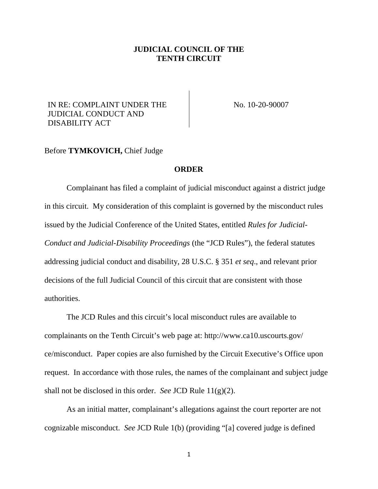## **JUDICIAL COUNCIL OF THE TENTH CIRCUIT**

## IN RE: COMPLAINT UNDER THE JUDICIAL CONDUCT AND DISABILITY ACT

No. 10-20-90007

## Before **TYMKOVICH,** Chief Judge

## **ORDER**

Complainant has filed a complaint of judicial misconduct against a district judge in this circuit. My consideration of this complaint is governed by the misconduct rules issued by the Judicial Conference of the United States, entitled *Rules for Judicial-Conduct and Judicial-Disability Proceedings* (the "JCD Rules"), the federal statutes addressing judicial conduct and disability, 28 U.S.C. § 351 *et seq*., and relevant prior decisions of the full Judicial Council of this circuit that are consistent with those authorities.

The JCD Rules and this circuit's local misconduct rules are available to complainants on the Tenth Circuit's web page at: http://www.ca10.uscourts.gov/ ce/misconduct. Paper copies are also furnished by the Circuit Executive's Office upon request. In accordance with those rules, the names of the complainant and subject judge shall not be disclosed in this order. *See* JCD Rule 11(g)(2).

As an initial matter, complainant's allegations against the court reporter are not cognizable misconduct. *See* JCD Rule 1(b) (providing "[a] covered judge is defined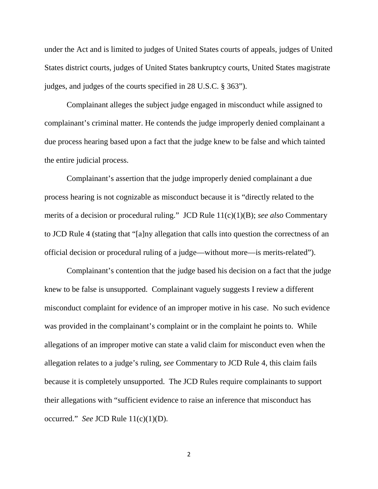under the Act and is limited to judges of United States courts of appeals, judges of United States district courts, judges of United States bankruptcy courts, United States magistrate judges, and judges of the courts specified in 28 U.S.C. § 363").

Complainant alleges the subject judge engaged in misconduct while assigned to complainant's criminal matter. He contends the judge improperly denied complainant a due process hearing based upon a fact that the judge knew to be false and which tainted the entire judicial process.

Complainant's assertion that the judge improperly denied complainant a due process hearing is not cognizable as misconduct because it is "directly related to the merits of a decision or procedural ruling." JCD Rule 11(c)(1)(B); *see also* Commentary to JCD Rule 4 (stating that "[a]ny allegation that calls into question the correctness of an official decision or procedural ruling of a judge—without more—is merits-related").

Complainant's contention that the judge based his decision on a fact that the judge knew to be false is unsupported. Complainant vaguely suggests I review a different misconduct complaint for evidence of an improper motive in his case. No such evidence was provided in the complainant's complaint or in the complaint he points to. While allegations of an improper motive can state a valid claim for misconduct even when the allegation relates to a judge's ruling, *see* Commentary to JCD Rule 4, this claim fails because it is completely unsupported. The JCD Rules require complainants to support their allegations with "sufficient evidence to raise an inference that misconduct has occurred." *See* JCD Rule 11(c)(1)(D).

2